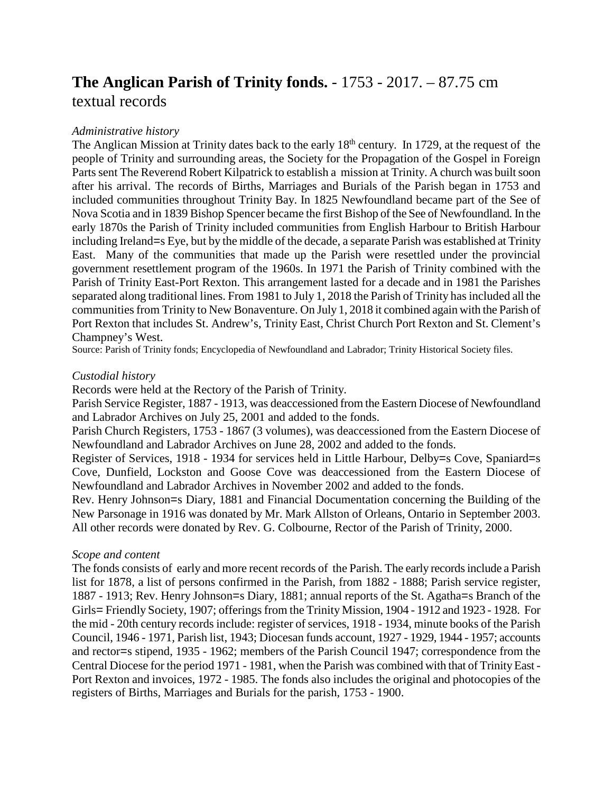# **The Anglican Parish of Trinity fonds.** - 1753 - 2017. – 87.75 cm textual records

## *Administrative history*

The Anglican Mission at Trinity dates back to the early 18<sup>th</sup> century. In 1729, at the request of the people of Trinity and surrounding areas, the Society for the Propagation of the Gospel in Foreign Parts sent The Reverend Robert Kilpatrick to establish a mission at Trinity. A church was built soon after his arrival. The records of Births, Marriages and Burials of the Parish began in 1753 and included communities throughout Trinity Bay. In 1825 Newfoundland became part of the See of Nova Scotia and in 1839 Bishop Spencer became the first Bishop of the See of Newfoundland*.* In the early 1870s the Parish of Trinity included communities from English Harbour to British Harbour including Ireland=s Eye, but by the middle of the decade, a separate Parish was established at Trinity East. Many of the communities that made up the Parish were resettled under the provincial government resettlement program of the 1960s. In 1971 the Parish of Trinity combined with the Parish of Trinity East-Port Rexton. This arrangement lasted for a decade and in 1981 the Parishes separated along traditional lines. From 1981 to July 1, 2018 the Parish of Trinity has included all the communities from Trinity to New Bonaventure. On July 1, 2018 it combined again with the Parish of Port Rexton that includes St. Andrew's, Trinity East, Christ Church Port Rexton and St. Clement's Champney's West.

Source: Parish of Trinity fonds; Encyclopedia of Newfoundland and Labrador; Trinity Historical Society files.

### *Custodial history*

Records were held at the Rectory of the Parish of Trinity.

Parish Service Register, 1887 - 1913, was deaccessioned from the Eastern Diocese of Newfoundland and Labrador Archives on July 25, 2001 and added to the fonds.

Parish Church Registers, 1753 - 1867 (3 volumes), was deaccessioned from the Eastern Diocese of Newfoundland and Labrador Archives on June 28, 2002 and added to the fonds.

Register of Services, 1918 - 1934 for services held in Little Harbour, Delby=s Cove, Spaniard=s Cove, Dunfield, Lockston and Goose Cove was deaccessioned from the Eastern Diocese of Newfoundland and Labrador Archives in November 2002 and added to the fonds.

Rev. Henry Johnson=s Diary, 1881 and Financial Documentation concerning the Building of the New Parsonage in 1916 was donated by Mr. Mark Allston of Orleans, Ontario in September 2003. All other records were donated by Rev. G. Colbourne, Rector of the Parish of Trinity, 2000.

### *Scope and content*

The fonds consists of early and more recent records of the Parish. The early records include a Parish list for 1878, a list of persons confirmed in the Parish, from 1882 - 1888; Parish service register, 1887 - 1913; Rev. Henry Johnson=s Diary, 1881; annual reports of the St. Agatha=s Branch of the Girls= Friendly Society, 1907; offerings from the Trinity Mission, 1904 - 1912 and 1923 - 1928. For the mid - 20th century records include: register of services, 1918 - 1934, minute books of the Parish Council, 1946 - 1971*,* Parish list, 1943; Diocesan funds account, 1927 - 1929, 1944 - 1957; accounts and rector=s stipend, 1935 - 1962; members of the Parish Council 1947; correspondence from the Central Diocese for the period 1971 - 1981, when the Parish was combined with that of Trinity East - Port Rexton and invoices, 1972 - 1985. The fonds also includes the original and photocopies of the registers of Births, Marriages and Burials for the parish, 1753 - 1900.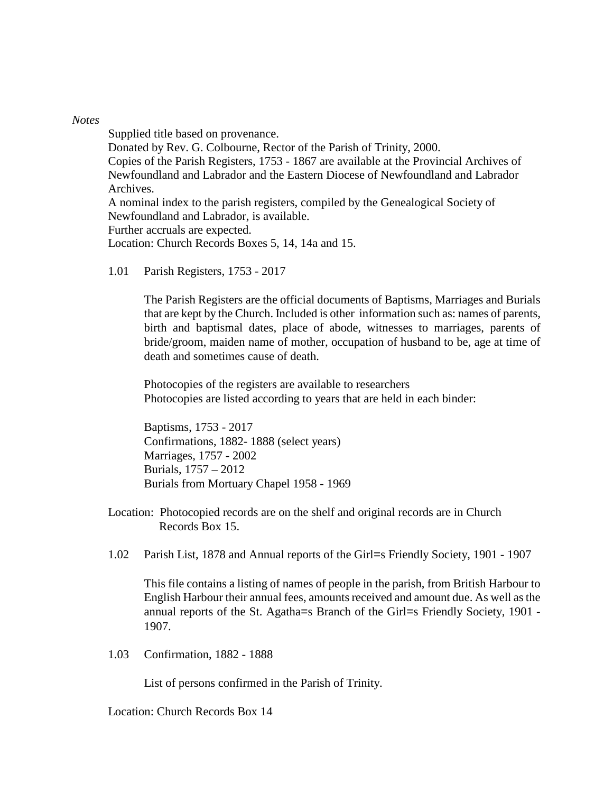#### *Notes*

Supplied title based on provenance.

Donated by Rev. G. Colbourne, Rector of the Parish of Trinity, 2000. Copies of the Parish Registers, 1753 - 1867 are available at the Provincial Archives of Newfoundland and Labrador and the Eastern Diocese of Newfoundland and Labrador Archives.

A nominal index to the parish registers, compiled by the Genealogical Society of Newfoundland and Labrador, is available.

Further accruals are expected.

Location: Church Records Boxes 5, 14, 14a and 15.

1.01 Parish Registers, 1753 - 2017

The Parish Registers are the official documents of Baptisms, Marriages and Burials that are kept by the Church. Included is other information such as: names of parents, birth and baptismal dates, place of abode, witnesses to marriages, parents of bride/groom, maiden name of mother, occupation of husband to be, age at time of death and sometimes cause of death.

Photocopies of the registers are available to researchers Photocopies are listed according to years that are held in each binder:

Baptisms, 1753 - 2017 Confirmations, 1882- 1888 (select years) Marriages, 1757 - 2002 Burials, 1757 – 2012 Burials from Mortuary Chapel 1958 - 1969

- Location: Photocopied records are on the shelf and original records are in Church Records Box 15.
- 1.02 Parish List, 1878 and Annual reports of the Girl=s Friendly Society, 1901 1907

This file contains a listing of names of people in the parish, from British Harbour to English Harbour their annual fees, amounts received and amount due. As well as the annual reports of the St. Agatha=s Branch of the Girl=s Friendly Society, 1901 - 1907.

1.03 Confirmation, 1882 - 1888

List of persons confirmed in the Parish of Trinity.

Location: Church Records Box 14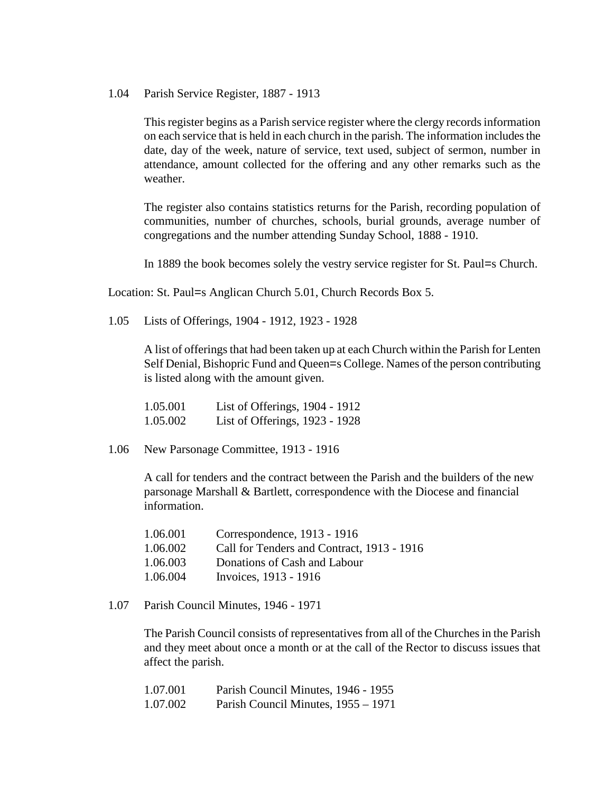1.04 Parish Service Register, 1887 - 1913

This register begins as a Parish service register where the clergy records information on each service that is held in each church in the parish. The information includes the date, day of the week, nature of service, text used, subject of sermon, number in attendance, amount collected for the offering and any other remarks such as the weather.

The register also contains statistics returns for the Parish, recording population of communities, number of churches, schools, burial grounds, average number of congregations and the number attending Sunday School, 1888 - 1910.

In 1889 the book becomes solely the vestry service register for St. Paul=s Church.

Location: St. Paul=s Anglican Church 5.01, Church Records Box 5.

1.05 Lists of Offerings, 1904 - 1912, 1923 - 1928

A list of offerings that had been taken up at each Church within the Parish for Lenten Self Denial, Bishopric Fund and Queen=s College. Names of the person contributing is listed along with the amount given.

| 1.05.001 | List of Offerings, 1904 - 1912 |  |
|----------|--------------------------------|--|
| 1.05.002 | List of Offerings, 1923 - 1928 |  |

1.06 New Parsonage Committee, 1913 - 1916

A call for tenders and the contract between the Parish and the builders of the new parsonage Marshall & Bartlett, correspondence with the Diocese and financial information.

| 1.06.001 | Correspondence, 1913 - 1916                |
|----------|--------------------------------------------|
| 1.06.002 | Call for Tenders and Contract, 1913 - 1916 |
| 1.06.003 | Donations of Cash and Labour               |
| 1.06.004 | Invoices, 1913 - 1916                      |

1.07 Parish Council Minutes, 1946 - 1971

The Parish Council consists of representatives from all of the Churches in the Parish and they meet about once a month or at the call of the Rector to discuss issues that affect the parish.

| 1.07.001 | Parish Council Minutes, 1946 - 1955 |
|----------|-------------------------------------|
| 1.07.002 | Parish Council Minutes, 1955 – 1971 |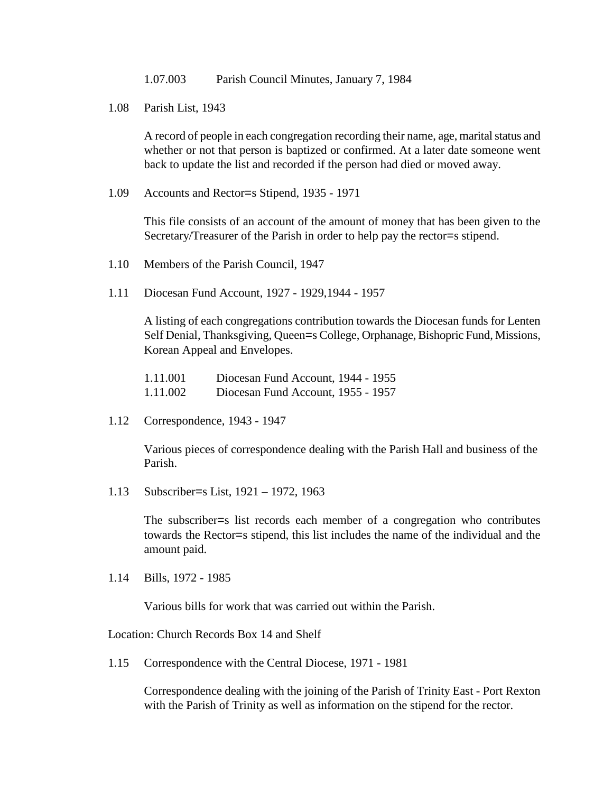1.07.003 Parish Council Minutes, January 7, 1984

1.08 Parish List, 1943

A record of people in each congregation recording their name, age, marital status and whether or not that person is baptized or confirmed. At a later date someone went back to update the list and recorded if the person had died or moved away.

1.09 Accounts and Rector=s Stipend, 1935 - 1971

This file consists of an account of the amount of money that has been given to the Secretary/Treasurer of the Parish in order to help pay the rector=s stipend.

- 1.10 Members of the Parish Council, 1947
- 1.11 Diocesan Fund Account, 1927 1929,1944 1957

A listing of each congregations contribution towards the Diocesan funds for Lenten Self Denial, Thanksgiving, Queen=s College, Orphanage, Bishopric Fund, Missions, Korean Appeal and Envelopes.

1.11.001 Diocesan Fund Account, 1944 - 1955 1.11.002 Diocesan Fund Account, 1955 - 1957

1.12 Correspondence, 1943 - 1947

Various pieces of correspondence dealing with the Parish Hall and business of the Parish.

1.13 Subscriber=s List, 1921 – 1972, 1963

The subscriber=s list records each member of a congregation who contributes towards the Rector=s stipend, this list includes the name of the individual and the amount paid.

1.14 Bills, 1972 - 1985

Various bills for work that was carried out within the Parish.

Location: Church Records Box 14 and Shelf

1.15 Correspondence with the Central Diocese, 1971 - 1981

Correspondence dealing with the joining of the Parish of Trinity East - Port Rexton with the Parish of Trinity as well as information on the stipend for the rector.